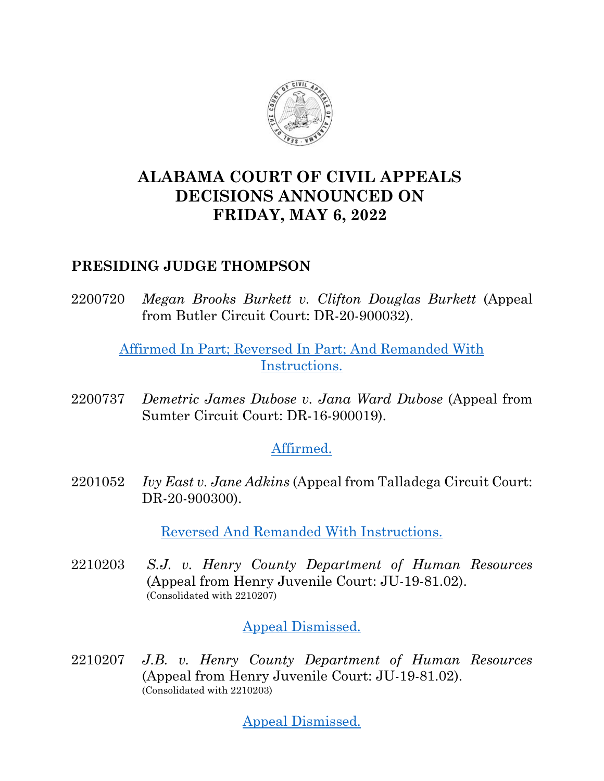

# **ALABAMA COURT OF CIVIL APPEALS DECISIONS ANNOUNCED ON FRIDAY, MAY 6, 2022**

### **PRESIDING JUDGE THOMPSON**

2200720 *Megan Brooks Burkett v. Clifton Douglas Burkett* (Appeal from Butler Circuit Court: DR-20-900032).

## [Affirmed In Part; Reversed In Part; And Remanded With](https://acis.alabama.gov/displaydocs.cfm?no=1126912&event=6BS0OZYRG)  [Instructions.](https://acis.alabama.gov/displaydocs.cfm?no=1126912&event=6BS0OZYRG)

2200737 *Demetric James Dubose v. Jana Ward Dubose* (Appeal from Sumter Circuit Court: DR-16-900019).

### [Affirmed.](https://acis.alabama.gov/displaydocs.cfm?no=1126913&event=6BS0P04PO)

2201052 *Ivy East v. Jane Adkins* (Appeal from Talladega Circuit Court: DR-20-900300).

[Reversed And Remanded With Instructions.](https://acis.alabama.gov/displaydocs.cfm?no=1126914&event=6BS0P0UPG)

2210203 *S.J. v. Henry County Department of Human Resources* (Appeal from Henry Juvenile Court: JU-19-81.02). (Consolidated with 2210207)

### [Appeal Dismissed.](https://acis.alabama.gov/displaydocs.cfm?no=1126915&event=6BS0P10ZG)

2210207 *J.B. v. Henry County Department of Human Resources* (Appeal from Henry Juvenile Court: JU-19-81.02). (Consolidated with 2210203)

[Appeal Dismissed.](https://acis.alabama.gov/displaydocs.cfm?no=1126915&event=6BS0P10ZG)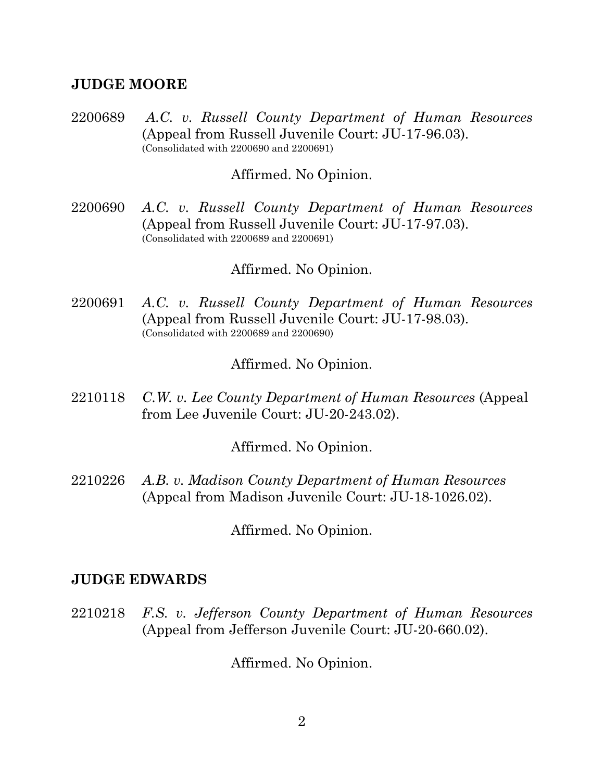#### **JUDGE MOORE**

2200689 *A.C. v. Russell County Department of Human Resources* (Appeal from Russell Juvenile Court: JU-17-96.03). (Consolidated with 2200690 and 2200691)

#### Affirmed. No Opinion.

2200690 *A.C. v. Russell County Department of Human Resources* (Appeal from Russell Juvenile Court: JU-17-97.03). (Consolidated with 2200689 and 2200691)

#### Affirmed. No Opinion.

2200691 *A.C. v. Russell County Department of Human Resources* (Appeal from Russell Juvenile Court: JU-17-98.03). (Consolidated with 2200689 and 2200690)

#### Affirmed. No Opinion.

2210118 *C.W. v. Lee County Department of Human Resources* (Appeal from Lee Juvenile Court: JU-20-243.02).

Affirmed. No Opinion.

2210226 *A.B. v. Madison County Department of Human Resources* (Appeal from Madison Juvenile Court: JU-18-1026.02).

Affirmed. No Opinion.

#### **JUDGE EDWARDS**

2210218 *F.S. v. Jefferson County Department of Human Resources* (Appeal from Jefferson Juvenile Court: JU-20-660.02).

Affirmed. No Opinion.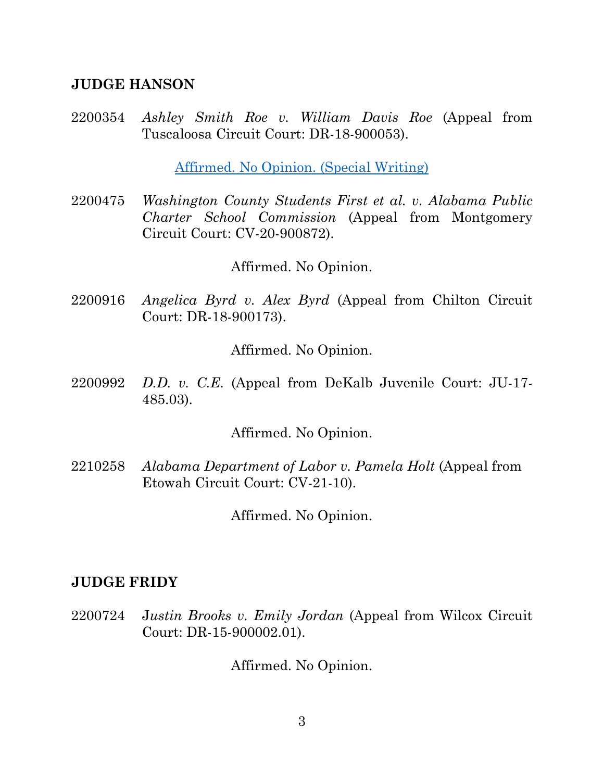#### **JUDGE HANSON**

2200354 *Ashley Smith Roe v. William Davis Roe* (Appeal from Tuscaloosa Circuit Court: DR-18-900053).

[Affirmed. No Opinion.](https://acis.alabama.gov/displaydocs.cfm?no=1126910&event=6BS0OZI6S) (Special Writing)

2200475 *Washington County Students First et al. v. Alabama Public Charter School Commission* (Appeal from Montgomery Circuit Court: CV-20-900872).

Affirmed. No Opinion.

2200916 *Angelica Byrd v. Alex Byrd* (Appeal from Chilton Circuit Court: DR-18-900173).

Affirmed. No Opinion.

2200992 *D.D. v. C.E.* (Appeal from DeKalb Juvenile Court: JU-17- 485.03).

Affirmed. No Opinion.

2210258 *Alabama Department of Labor v. Pamela Holt* (Appeal from Etowah Circuit Court: CV-21-10).

Affirmed. No Opinion.

### **JUDGE FRIDY**

2200724 J*ustin Brooks v. Emily Jordan* (Appeal from Wilcox Circuit Court: DR-15-900002.01).

Affirmed. No Opinion.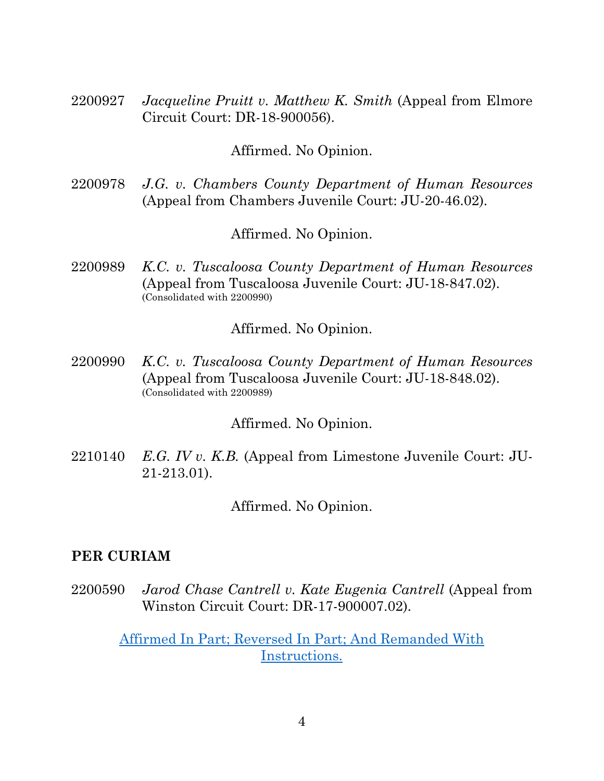2200927 *Jacqueline Pruitt v. Matthew K. Smith* (Appeal from Elmore Circuit Court: DR-18-900056).

#### Affirmed. No Opinion.

2200978 *J.G. v. Chambers County Department of Human Resources* (Appeal from Chambers Juvenile Court: JU-20-46.02).

Affirmed. No Opinion.

2200989 *K.C. v. Tuscaloosa County Department of Human Resources* (Appeal from Tuscaloosa Juvenile Court: JU-18-847.02). (Consolidated with 2200990)

Affirmed. No Opinion.

2200990 *K.C. v. Tuscaloosa County Department of Human Resources* (Appeal from Tuscaloosa Juvenile Court: JU-18-848.02). (Consolidated with 2200989)

Affirmed. No Opinion.

2210140 *E.G. IV v. K.B.* (Appeal from Limestone Juvenile Court: JU-21-213.01).

Affirmed. No Opinion.

#### **PER CURIAM**

2200590 *Jarod Chase Cantrell v. Kate Eugenia Cantrell* (Appeal from Winston Circuit Court: DR-17-900007.02).

> [Affirmed In Part; Reversed In Part; And Remanded With](https://acis.alabama.gov/displaydocs.cfm?no=1126911&event=6BS0OZRGR)  [Instructions.](https://acis.alabama.gov/displaydocs.cfm?no=1126911&event=6BS0OZRGR)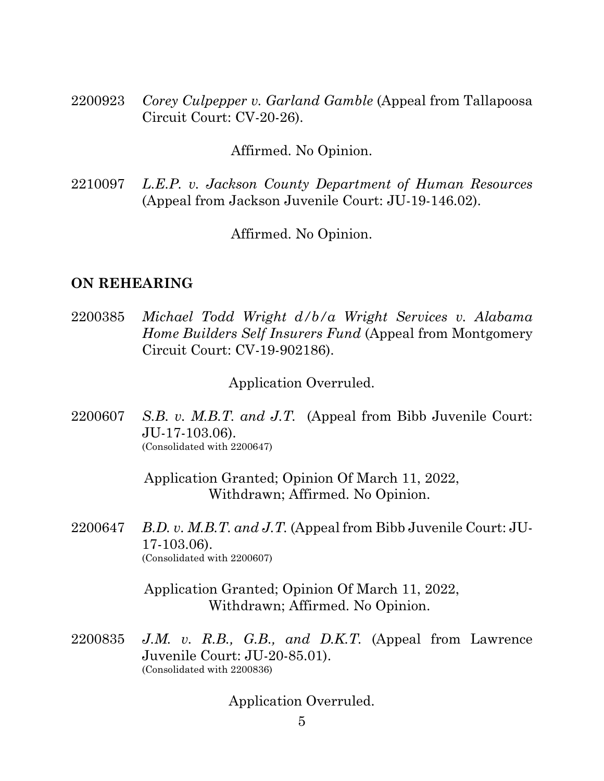2200923 *Corey Culpepper v. Garland Gamble* (Appeal from Tallapoosa Circuit Court: CV-20-26).

Affirmed. No Opinion.

2210097 *L.E.P. v. Jackson County Department of Human Resources* (Appeal from Jackson Juvenile Court: JU-19-146.02).

Affirmed. No Opinion.

#### **ON REHEARING**

2200385 *Michael Todd Wright d/b/a Wright Services v. Alabama Home Builders Self Insurers Fund* (Appeal from Montgomery Circuit Court: CV-19-902186).

Application Overruled.

2200607 *S.B. v. M.B.T. and J.T.* (Appeal from Bibb Juvenile Court: JU-17-103.06). (Consolidated with 2200647)

> Application Granted; Opinion Of March 11, 2022, Withdrawn; Affirmed. No Opinion.

2200647 *B.D. v. M.B.T. and J.T.* (Appeal from Bibb Juvenile Court: JU-17-103.06). (Consolidated with 2200607)

> Application Granted; Opinion Of March 11, 2022, Withdrawn; Affirmed. No Opinion.

2200835 *J.M. v. R.B., G.B., and D.K.T.* (Appeal from Lawrence Juvenile Court: JU-20-85.01). (Consolidated with 2200836)

Application Overruled.